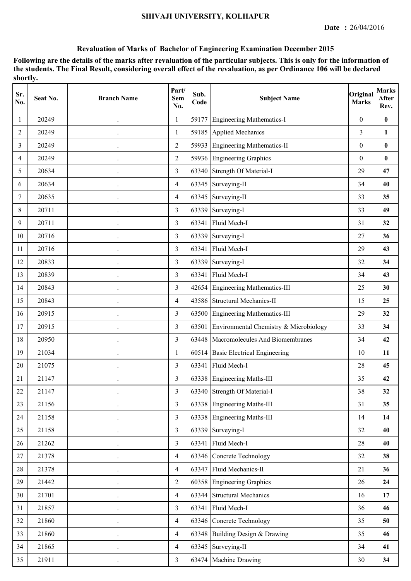| Sr.<br>No.     | Seat No. | <b>Branch Name</b>   | Part/<br><b>Sem</b><br>No. | Sub.<br>Code | <b>Subject Name</b>                    | Original<br><b>Marks</b> | <b>Marks</b><br>After<br>Rev. |
|----------------|----------|----------------------|----------------------------|--------------|----------------------------------------|--------------------------|-------------------------------|
| 1              | 20249    | $\ddot{\phantom{0}}$ | 1                          | 59177        | <b>Engineering Mathematics-I</b>       | $\mathbf{0}$             | $\bf{0}$                      |
| $\overline{2}$ | 20249    |                      | $\mathbf{1}$               | 59185        | <b>Applied Mechanics</b>               | $\overline{3}$           | $\mathbf{1}$                  |
| 3              | 20249    | $\bullet$            | $\overline{2}$             | 59933        | <b>Engineering Mathematics-II</b>      | $\boldsymbol{0}$         | $\bf{0}$                      |
| 4              | 20249    | $\ddot{\phantom{0}}$ | $\overline{2}$             |              | 59936 Engineering Graphics             | $\boldsymbol{0}$         | $\bf{0}$                      |
| 5              | 20634    | $\ddot{\phantom{0}}$ | $\overline{3}$             |              | 63340 Strength Of Material-I           | 29                       | 47                            |
| 6              | 20634    |                      | $\overline{4}$             | 63345        | Surveying-II                           | 34                       | 40                            |
| 7              | 20635    | $\ddot{\phantom{0}}$ | 4                          | 63345        | Surveying-II                           | 33                       | 35                            |
| 8              | 20711    | $\ddot{\phantom{0}}$ | 3                          | 63339        | Surveying-I                            | 33                       | 49                            |
| 9              | 20711    |                      | 3                          | 63341        | Fluid Mech-I                           | 31                       | 32                            |
| 10             | 20716    |                      | 3                          | 63339        | Surveying-I                            | 27                       | 36                            |
| 11             | 20716    | $\ddot{\phantom{0}}$ | $\overline{3}$             | 63341        | Fluid Mech-I                           | 29                       | 43                            |
| 12             | 20833    | $\ddot{\phantom{0}}$ | 3                          | 63339        | Surveying-I                            | 32                       | 34                            |
| 13             | 20839    | $\ddot{\phantom{0}}$ | 3                          | 63341        | Fluid Mech-I                           | 34                       | 43                            |
| 14             | 20843    |                      | $\overline{3}$             | 42654        | <b>Engineering Mathematics-III</b>     | 25                       | 30                            |
| 15             | 20843    | $\ddot{\phantom{0}}$ | $\overline{4}$             | 43586        | <b>Structural Mechanics-II</b>         | 15                       | 25                            |
| 16             | 20915    | $\ddot{\phantom{0}}$ | 3                          |              | 63500 Engineering Mathematics-III      | 29                       | 32                            |
| 17             | 20915    | $\ddot{\phantom{0}}$ | 3                          | 63501        | Environmental Chemistry & Microbiology | 33                       | 34                            |
| 18             | 20950    |                      | $\overline{3}$             | 63448        | Macromolecules And Biomembranes        | 34                       | 42                            |
| 19             | 21034    | $\bullet$            | $\mathbf{1}$               | 60514        | <b>Basic Electrical Engineering</b>    | 10                       | 11                            |
| 20             | 21075    | $\ddot{\phantom{0}}$ | 3                          | 63341        | Fluid Mech-I                           | 28                       | 45                            |
| 21             | 21147    | $\ddot{\phantom{0}}$ | 3                          |              | 63338 Engineering Maths-III            | 35                       | 42                            |
| 22             | 21147    |                      | 3                          |              | 63340 Strength Of Material-I           | 38                       | 32                            |
| 23             | 21156    | $\ddot{\phantom{0}}$ | $\overline{3}$             |              | 63338 Engineering Maths-III            | 31                       | 35                            |
| 24             | 21158    | $\ddot{\phantom{0}}$ | $\overline{3}$             |              | 63338 Engineering Maths-III            | 14                       | 14                            |
| 25             | 21158    | $\ddot{\phantom{0}}$ | $\overline{3}$             |              | 63339 Surveying-I                      | 32                       | 40                            |
| 26             | 21262    |                      | $\overline{3}$             | 63341        | Fluid Mech-I                           | $28\,$                   | 40                            |
| 27             | 21378    | $\ddot{\phantom{0}}$ | $\overline{4}$             | 63346        | <b>Concrete Technology</b>             | 32                       | 38                            |
| 28             | 21378    |                      | $\overline{4}$             |              | 63347 Fluid Mechanics-II               | 21                       | 36                            |
| 29             | 21442    | $\ddot{\phantom{0}}$ | $\overline{2}$             |              | 60358 Engineering Graphics             | 26                       | 24                            |
| 30             | 21701    |                      | $\overline{4}$             |              | 63344 Structural Mechanics             | 16                       | 17                            |
| 31             | 21857    | $\ddot{\phantom{0}}$ | $\overline{3}$             | 63341        | Fluid Mech-I                           | 36                       | 46                            |
| 32             | 21860    | $\ddot{\phantom{0}}$ | $\overline{4}$             | 63346        | Concrete Technology                    | 35                       | 50                            |
| 33             | 21860    | $\ddot{\phantom{0}}$ | $\overline{4}$             |              | 63348 Building Design & Drawing        | 35                       | 46                            |
| 34             | 21865    |                      | $\overline{4}$             | 63345        | Surveying-II                           | 34                       | 41                            |
| 35             | 21911    | $\cdot$              | $\overline{3}$             |              | 63474 Machine Drawing                  | $30\,$                   | 34                            |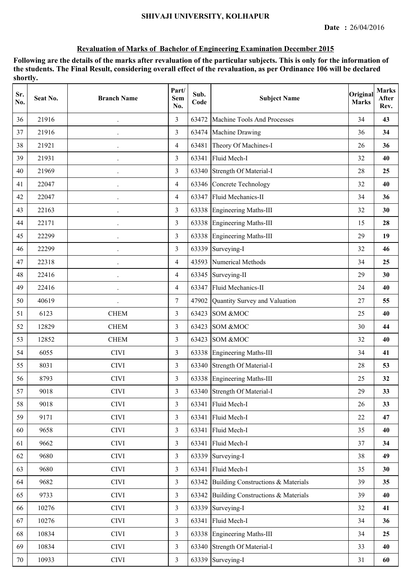| Sr.<br>No. | Seat No. | <b>Branch Name</b>   | Part/<br><b>Sem</b><br>No. | Sub.<br>Code | <b>Subject Name</b>                      | Original<br><b>Marks</b> | <b>Marks</b><br>After<br>Rev. |
|------------|----------|----------------------|----------------------------|--------------|------------------------------------------|--------------------------|-------------------------------|
| 36         | 21916    |                      | 3                          | 63472        | Machine Tools And Processes              | 34                       | 43                            |
| 37         | 21916    |                      | $\overline{3}$             | 63474        | Machine Drawing                          | 36                       | 34                            |
| 38         | 21921    | $\ddot{\phantom{0}}$ | $\overline{4}$             | 63481        | Theory Of Machines-I                     | 26                       | 36                            |
| 39         | 21931    | $\ddot{\phantom{0}}$ | 3                          | 63341        | Fluid Mech-I                             | 32                       | 40                            |
| 40         | 21969    |                      | $\overline{3}$             | 63340        | Strength Of Material-I                   | 28                       | 25                            |
| 41         | 22047    | $\ddot{\phantom{0}}$ | $\overline{4}$             | 63346        | Concrete Technology                      | 32                       | 40                            |
| 42         | 22047    | $\ddot{\phantom{0}}$ | $\overline{4}$             | 63347        | Fluid Mechanics-II                       | 34                       | 36                            |
| 43         | 22163    |                      | 3                          | 63338        | <b>Engineering Maths-III</b>             | 32                       | 30                            |
| 44         | 22171    |                      | 3                          |              | 63338 Engineering Maths-III              | 15                       | 28                            |
| 45         | 22299    | $\bullet$            | $\overline{3}$             |              | 63338 Engineering Maths-III              | 29                       | 19                            |
| 46         | 22299    | $\ddot{\phantom{0}}$ | $\overline{3}$             |              | 63339 Surveying-I                        | 32                       | 46                            |
| 47         | 22318    | $\bullet$            | $\overline{4}$             | 43593        | Numerical Methods                        | 34                       | 25                            |
| 48         | 22416    |                      | $\overline{4}$             | 63345        | Surveying-II                             | 29                       | 30                            |
| 49         | 22416    | $\ddot{\phantom{0}}$ | 4                          | 63347        | Fluid Mechanics-II                       | 24                       | 40                            |
| 50         | 40619    |                      | $\tau$                     | 47902        | Quantity Survey and Valuation            | 27                       | 55                            |
| 51         | 6123     | <b>CHEM</b>          | 3                          | 63423        | SOM &MOC                                 | 25                       | 40                            |
| 52         | 12829    | <b>CHEM</b>          | 3                          | 63423        | SOM &MOC                                 | 30                       | 44                            |
| 53         | 12852    | <b>CHEM</b>          | $\overline{3}$             | 63423        | SOM &MOC                                 | 32                       | 40                            |
| 54         | 6055     | <b>CIVI</b>          | 3                          |              | 63338 Engineering Maths-III              | 34                       | 41                            |
| 55         | 8031     | <b>CIVI</b>          | $\overline{3}$             |              | 63340 Strength Of Material-I             | 28                       | 53                            |
| 56         | 8793     | <b>CIVI</b>          | $\overline{3}$             |              | 63338 Engineering Maths-III              | 25                       | 32                            |
| 57         | 9018     | <b>CIVI</b>          | 3                          |              | 63340 Strength Of Material-I             | 29                       | 33                            |
| 58         | 9018     | <b>CIVI</b>          | 3                          | 63341        | Fluid Mech-I                             | 26                       | 33                            |
| 59         | 9171     | <b>CIVI</b>          | $\overline{3}$             |              | 63341 Fluid Mech-I                       | 22                       | 47                            |
| 60         | 9658     | <b>CIVI</b>          | $\overline{3}$             | 63341        | Fluid Mech-I                             | 35                       | 40                            |
| 61         | 9662     | <b>CIVI</b>          | $\overline{3}$             | 63341        | Fluid Mech-I                             | 37                       | 34                            |
| 62         | 9680     | <b>CIVI</b>          | $\overline{3}$             | 63339        | Surveying-I                              | 38                       | 49                            |
| 63         | 9680     | <b>CIVI</b>          | $\overline{3}$             | 63341        | Fluid Mech-I                             | 35                       | 30                            |
| 64         | 9682     | <b>CIVI</b>          | $\overline{3}$             |              | 63342 Building Constructions & Materials | 39                       | 35                            |
| 65         | 9733     | <b>CIVI</b>          | $\overline{3}$             | 63342        | Building Constructions & Materials       | 39                       | 40                            |
| 66         | 10276    | <b>CIVI</b>          | 3                          |              | 63339 Surveying-I                        | 32                       | 41                            |
| 67         | 10276    | <b>CIVI</b>          | $\overline{3}$             | 63341        | Fluid Mech-I                             | 34                       | 36                            |
| 68         | 10834    | <b>CIVI</b>          | 3                          |              | 63338 Engineering Maths-III              | 34                       | 25                            |
| 69         | 10834    | <b>CIVI</b>          | $\overline{3}$             |              | 63340 Strength Of Material-I             | 33                       | 40                            |
| 70         | 10933    | CIVI                 | $\overline{3}$             |              | 63339 Surveying-I                        | 31                       | 60                            |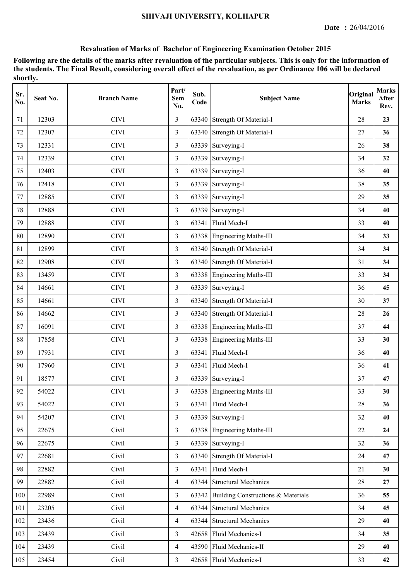| Sr.<br>No. | Seat No. | <b>Branch Name</b> | Part/<br>Sem<br>No. | Sub.<br>Code | <b>Subject Name</b>                      | Original<br><b>Marks</b> | <b>Marks</b><br>After<br>Rev. |
|------------|----------|--------------------|---------------------|--------------|------------------------------------------|--------------------------|-------------------------------|
| 71         | 12303    | <b>CIVI</b>        | $\overline{3}$      | 63340        | Strength Of Material-I                   | 28                       | 23                            |
| 72         | 12307    | <b>CIVI</b>        | $\overline{3}$      |              | 63340 Strength Of Material-I             | 27                       | 36                            |
| 73         | 12331    | <b>CIVI</b>        | 3                   | 63339        | Surveying-I                              | 26                       | 38                            |
| 74         | 12339    | <b>CIVI</b>        | 3                   |              | 63339 Surveying-I                        | 34                       | 32                            |
| 75         | 12403    | <b>CIVI</b>        | 3                   |              | 63339 Surveying-I                        | 36                       | 40                            |
| 76         | 12418    | <b>CIVI</b>        | $\overline{3}$      | 63339        | Surveying-I                              | 38                       | 35                            |
| 77         | 12885    | <b>CIVI</b>        | 3                   | 63339        | Surveying-I                              | 29                       | 35                            |
| 78         | 12888    | <b>CIVI</b>        | $\overline{3}$      | 63339        | Surveying-I                              | 34                       | 40                            |
| 79         | 12888    | <b>CIVI</b>        | $\overline{3}$      | 63341        | Fluid Mech-I                             | 33                       | 40                            |
| 80         | 12890    | <b>CIVI</b>        | $\overline{3}$      |              | 63338 Engineering Maths-III              | 34                       | 33                            |
| 81         | 12899    | <b>CIVI</b>        | $\overline{3}$      |              | 63340 Strength Of Material-I             | 34                       | 34                            |
| 82         | 12908    | <b>CIVI</b>        | 3                   |              | 63340 Strength Of Material-I             | 31                       | 34                            |
| 83         | 13459    | <b>CIVI</b>        | $\mathfrak{Z}$      |              | 63338 Engineering Maths-III              | 33                       | 34                            |
| 84         | 14661    | <b>CIVI</b>        | $\overline{3}$      |              | 63339 Surveying-I                        | 36                       | 45                            |
| 85         | 14661    | <b>CIVI</b>        | 3                   |              | 63340 Strength Of Material-I             | 30                       | 37                            |
| 86         | 14662    | <b>CIVI</b>        | $\overline{3}$      |              | 63340 Strength Of Material-I             | 28                       | 26                            |
| 87         | 16091    | <b>CIVI</b>        | 3                   | 63338        | <b>Engineering Maths-III</b>             | 37                       | 44                            |
| 88         | 17858    | <b>CIVI</b>        | $\overline{3}$      |              | 63338 Engineering Maths-III              | 33                       | 30                            |
| 89         | 17931    | <b>CIVI</b>        | 3                   | 63341        | Fluid Mech-I                             | 36                       | 40                            |
| 90         | 17960    | <b>CIVI</b>        | 3                   | 63341        | Fluid Mech-I                             | 36                       | 41                            |
| 91         | 18577    | <b>CIVI</b>        | 3                   |              | 63339 Surveying-I                        | 37                       | 47                            |
| 92         | 54022    | <b>CIVI</b>        | $\mathfrak{Z}$      |              | 63338 Engineering Maths-III              | 33                       | 30                            |
| 93         | 54022    | <b>CIVI</b>        | 3                   | 63341        | Fluid Mech-I                             | 28                       | 36                            |
| 94         | 54207    | <b>CIVI</b>        | $\overline{3}$      |              | 63339 Surveying-I                        | 32                       | 40                            |
| 95         | 22675    | Civil              | $\mathfrak{Z}$      |              | 63338 Engineering Maths-III              | 22                       | 24                            |
| 96         | 22675    | Civil              | $\overline{3}$      |              | 63339 Surveying-I                        | 32                       | 36                            |
| 97         | 22681    | Civil              | $\overline{3}$      |              | 63340 Strength Of Material-I             | 24                       | 47                            |
| 98         | 22882    | Civil              | $\overline{3}$      |              | 63341 Fluid Mech-I                       | 21                       | 30                            |
| 99         | 22882    | Civil              | $\overline{4}$      |              | 63344 Structural Mechanics               | 28                       | 27                            |
| 100        | 22989    | Civil              | $\overline{3}$      |              | 63342 Building Constructions & Materials | 36                       | 55                            |
| 101        | 23205    | Civil              | $\overline{4}$      |              | 63344 Structural Mechanics               | 34                       | 45                            |
| 102        | 23436    | Civil              | $\overline{4}$      |              | 63344 Structural Mechanics               | 29                       | 40                            |
| 103        | 23439    | Civil              | $\overline{3}$      |              | 42658 Fluid Mechanics-I                  | 34                       | 35                            |
| 104        | 23439    | Civil              | $\overline{4}$      |              | 43590 Fluid Mechanics-II                 | 29                       | 40                            |
| 105        | 23454    | Civil              | $\mathfrak{Z}$      |              | 42658 Fluid Mechanics-I                  | 33                       | 42                            |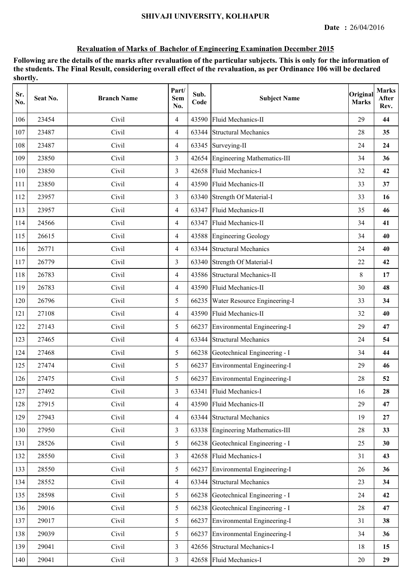| Sr.<br>No. | Seat No. | <b>Branch Name</b> | Part/<br>Sem<br>No. | Sub.<br>Code | <b>Subject Name</b>                | Original<br><b>Marks</b> | <b>Marks</b><br>After<br>Rev. |
|------------|----------|--------------------|---------------------|--------------|------------------------------------|--------------------------|-------------------------------|
| 106        | 23454    | Civil              | $\overline{4}$      | 43590        | Fluid Mechanics-II                 | 29                       | 44                            |
| 107        | 23487    | Civil              | $\overline{4}$      | 63344        | <b>Structural Mechanics</b>        | 28                       | 35                            |
| 108        | 23487    | Civil              | $\overline{4}$      |              | 63345 Surveying-II                 | 24                       | 24                            |
| 109        | 23850    | Civil              | 3                   |              | 42654 Engineering Mathematics-III  | 34                       | 36                            |
| 110        | 23850    | Civil              | 3                   | 42658        | Fluid Mechanics-I                  | 32                       | 42                            |
| 111        | 23850    | Civil              | $\overline{4}$      | 43590        | Fluid Mechanics-II                 | 33                       | 37                            |
| 112        | 23957    | Civil              | 3                   |              | 63340 Strength Of Material-I       | 33                       | 16                            |
| 113        | 23957    | Civil              | $\overline{4}$      | 63347        | Fluid Mechanics-II                 | 35                       | 46                            |
| 114        | 24566    | Civil              | $\overline{4}$      | 63347        | Fluid Mechanics-II                 | 34                       | 41                            |
| 115        | 26615    | Civil              | $\overline{4}$      | 43588        | <b>Engineering Geology</b>         | 34                       | 40                            |
| 116        | 26771    | Civil              | $\overline{4}$      |              | 63344 Structural Mechanics         | 24                       | 40                            |
| 117        | 26779    | Civil              | 3                   |              | 63340 Strength Of Material-I       | 22                       | 42                            |
| 118        | 26783    | Civil              | $\overline{4}$      |              | 43586 Structural Mechanics-II      | 8                        | 17                            |
| 119        | 26783    | Civil              | $\overline{4}$      |              | 43590 Fluid Mechanics-II           | 30                       | 48                            |
| 120        | 26796    | Civil              | 5                   | 66235        | Water Resource Engineering-I       | 33                       | 34                            |
| 121        | 27108    | Civil              | $\overline{4}$      |              | 43590 Fluid Mechanics-II           | 32                       | 40                            |
| 122        | 27143    | Civil              | 5                   | 66237        | Environmental Engineering-I        | 29                       | 47                            |
| 123        | 27465    | Civil              | $\overline{4}$      | 63344        | <b>Structural Mechanics</b>        | 24                       | 54                            |
| 124        | 27468    | Civil              | 5                   |              | 66238 Geotechnical Engineering - I | 34                       | 44                            |
| 125        | 27474    | Civil              | 5                   |              | 66237 Environmental Engineering-I  | 29                       | 46                            |
| 126        | 27475    | Civil              | 5                   | 66237        | Environmental Engineering-I        | 28                       | 52                            |
| 127        | 27492    | Civil              | $\mathfrak{Z}$      |              | 63341 Fluid Mechanics-I            | 16                       | 28                            |
| 128        | 27915    | Civil              | $\overline{4}$      | 43590        | Fluid Mechanics-II                 | 29                       | 47                            |
| 129        | 27943    | Civil              | $\overline{4}$      | 63344        | <b>Structural Mechanics</b>        | 19                       | 27                            |
| 130        | 27950    | Civil              | 3                   | 63338        | <b>Engineering Mathematics-III</b> | 28                       | 33                            |
| 131        | 28526    | Civil              | 5                   | 66238        | Geotechnical Engineering - I       | 25                       | 30                            |
| 132        | 28550    | Civil              | $\overline{3}$      |              | 42658 Fluid Mechanics-I            | 31                       | 43                            |
| 133        | 28550    | Civil              | 5                   | 66237        | Environmental Engineering-I        | 26                       | 36                            |
| 134        | 28552    | Civil              | $\overline{4}$      | 63344        | <b>Structural Mechanics</b>        | 23                       | 34                            |
| 135        | 28598    | Civil              | 5                   | 66238        | Geotechnical Engineering - I       | 24                       | 42                            |
| 136        | 29016    | Civil              | 5                   | 66238        | Geotechnical Engineering - I       | 28                       | 47                            |
| 137        | 29017    | Civil              | 5                   | 66237        | Environmental Engineering-I        | 31                       | 38                            |
| 138        | 29039    | Civil              | 5                   | 66237        | Environmental Engineering-I        | 34                       | 36                            |
| 139        | 29041    | Civil              | $\overline{3}$      | 42656        | <b>Structural Mechanics-I</b>      | 18                       | 15                            |
| 140        | 29041    | Civil              | $\overline{3}$      |              | 42658 Fluid Mechanics-I            | $20\,$                   | 29                            |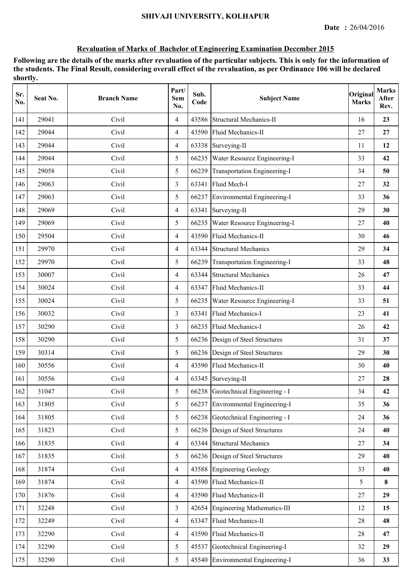| Sr.<br>No. | Seat No. | <b>Branch Name</b> | Part/<br><b>Sem</b><br>No. | Sub.<br>Code | <b>Subject Name</b>                | Original<br><b>Marks</b> | <b>Marks</b><br>After<br>Rev. |
|------------|----------|--------------------|----------------------------|--------------|------------------------------------|--------------------------|-------------------------------|
| 141        | 29041    | Civil              | $\overline{4}$             | 43586        | <b>Structural Mechanics-II</b>     | 16                       | 23                            |
| 142        | 29044    | Civil              | $\overline{4}$             | 43590        | Fluid Mechanics-II                 | 27                       | 27                            |
| 143        | 29044    | Civil              | $\overline{4}$             |              | 63338 Surveying-II                 | 11                       | 12                            |
| 144        | 29044    | Civil              | 5                          |              | 66235 Water Resource Engineering-I | 33                       | 42                            |
| 145        | 29058    | Civil              | 5                          |              | 66239 Transportation Engineering-I | 34                       | 50                            |
| 146        | 29063    | Civil              | $\overline{3}$             | 63341        | Fluid Mech-I                       | 27                       | 32                            |
| 147        | 29063    | Civil              | 5                          | 66237        | Environmental Engineering-I        | 33                       | 36                            |
| 148        | 29069    | Civil              | $\overline{4}$             | 63341        | Surveying-II                       | 29                       | 30                            |
| 149        | 29069    | Civil              | 5                          | 66235        | Water Resource Engineering-I       | 27                       | 40                            |
| 150        | 29504    | Civil              | $\overline{4}$             | 43590        | Fluid Mechanics-II                 | 30                       | 46                            |
| 151        | 29970    | Civil              | $\overline{4}$             |              | 63344 Structural Mechanics         | 29                       | 34                            |
| 152        | 29970    | Civil              | 5                          | 66239        | Transportation Engineering-I       | 33                       | 48                            |
| 153        | 30007    | Civil              | $\overline{4}$             | 63344        | <b>Structural Mechanics</b>        | 26                       | 47                            |
| 154        | 30024    | Civil              | $\overline{4}$             | 63347        | Fluid Mechanics-II                 | 33                       | 44                            |
| 155        | 30024    | Civil              | 5                          | 66235        | Water Resource Engineering-I       | 33                       | 51                            |
| 156        | 30032    | Civil              | 3                          | 63341        | Fluid Mechanics-I                  | 23                       | 41                            |
| 157        | 30290    | Civil              | 3                          | 66235        | Fluid Mechanics-I                  | 26                       | 42                            |
| 158        | 30290    | Civil              | 5                          |              | 66236 Design of Steel Structures   | 31                       | 37                            |
| 159        | 30314    | Civil              | 5                          | 66236        | Design of Steel Structures         | 29                       | 30                            |
| 160        | 30556    | Civil              | $\overline{4}$             |              | 43590 Fluid Mechanics-II           | 30                       | 40                            |
| 161        | 30556    | Civil              | $\overline{4}$             |              | 63345 Surveying-II                 | 27                       | 28                            |
| 162        | 31047    | Civil              | 5                          |              | 66238 Geotechnical Engineering - I | 34                       | 42                            |
| 163        | 31805    | Civil              | 5                          | 66237        | Environmental Engineering-I        | 35                       | 36                            |
| 164        | 31805    | Civil              | 5                          | 66238        | Geotechnical Engineering - I       | 24                       | 36                            |
| 165        | 31823    | Civil              | 5                          |              | 66236 Design of Steel Structures   | 24                       | 40                            |
| 166        | 31835    | Civil              | $\overline{4}$             |              | 63344 Structural Mechanics         | 27                       | 34                            |
| 167        | 31835    | Civil              | 5                          | 66236        | Design of Steel Structures         | 29                       | 40                            |
| 168        | 31874    | Civil              | $\overline{4}$             |              | 43588 Engineering Geology          | 33                       | 40                            |
| 169        | 31874    | Civil              | $\overline{4}$             |              | 43590 Fluid Mechanics-II           | 5                        | 8                             |
| 170        | 31876    | Civil              | $\overline{4}$             |              | 43590 Fluid Mechanics-II           | 27                       | 29                            |
| 171        | 32248    | Civil              | $\overline{3}$             | 42654        | <b>Engineering Mathematics-III</b> | 12                       | 15                            |
| 172        | 32249    | Civil              | $\overline{4}$             | 63347        | Fluid Mechanics-II                 | 28                       | 48                            |
| 173        | 32290    | Civil              | $\overline{4}$             |              | 43590 Fluid Mechanics-II           | 28                       | 47                            |
| 174        | 32290    | Civil              | 5                          | 45537        | Geotechnical Engineering-I         | 32                       | 29                            |
| 175        | 32290    | Civil              | 5                          |              | 45540 Environmental Engineering-I  | 36                       | 33                            |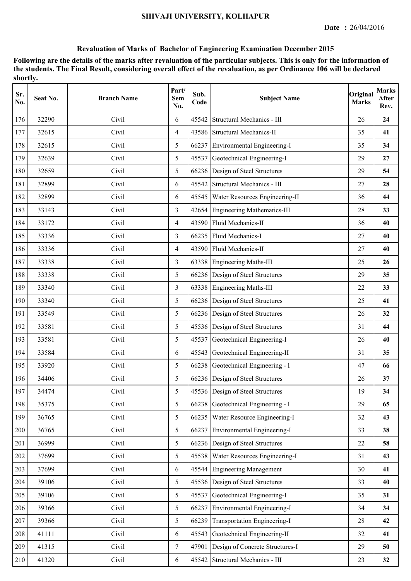| Sr.<br>No. | Seat No. | <b>Branch Name</b> | Part/<br>Sem<br>No. | Sub.<br>Code | <b>Subject Name</b>                    | Original<br><b>Marks</b> | <b>Marks</b><br>After<br>Rev. |
|------------|----------|--------------------|---------------------|--------------|----------------------------------------|--------------------------|-------------------------------|
| 176        | 32290    | Civil              | 6                   | 45542        | Structural Mechanics - III             | 26                       | 24                            |
| 177        | 32615    | Civil              | $\overline{4}$      |              | 43586 Structural Mechanics-II          | 35                       | 41                            |
| 178        | 32615    | Civil              | 5                   |              | 66237 Environmental Engineering-I      | 35                       | 34                            |
| 179        | 32639    | Civil              | 5                   |              | 45537 Geotechnical Engineering-I       | 29                       | 27                            |
| 180        | 32659    | Civil              | 5                   |              | 66236 Design of Steel Structures       | 29                       | 54                            |
| 181        | 32899    | Civil              | 6                   |              | 45542 Structural Mechanics - III       | 27                       | 28                            |
| 182        | 32899    | Civil              | 6                   |              | 45545   Water Resources Engineering-II | 36                       | 44                            |
| 183        | 33143    | Civil              | 3                   | 42654        | <b>Engineering Mathematics-III</b>     | 28                       | 33                            |
| 184        | 33172    | Civil              | 4                   | 43590        | <b>Fluid Mechanics-II</b>              | 36                       | 40                            |
| 185        | 33336    | Civil              | 3                   | 66235        | Fluid Mechanics-I                      | 27                       | 40                            |
| 186        | 33336    | Civil              | $\overline{4}$      |              | 43590 Fluid Mechanics-II               | 27                       | 40                            |
| 187        | 33338    | Civil              | 3                   |              | 63338 Engineering Maths-III            | 25                       | 26                            |
| 188        | 33338    | Civil              | 5                   |              | 66236 Design of Steel Structures       | 29                       | 35                            |
| 189        | 33340    | Civil              | 3                   |              | 63338 Engineering Maths-III            | 22                       | 33                            |
| 190        | 33340    | Civil              | 5                   |              | 66236 Design of Steel Structures       | 25                       | 41                            |
| 191        | 33549    | Civil              | 5                   |              | 66236 Design of Steel Structures       | 26                       | 32                            |
| 192        | 33581    | Civil              | 5                   |              | 45536 Design of Steel Structures       | 31                       | 44                            |
| 193        | 33581    | Civil              | 5                   | 45537        | Geotechnical Engineering-I             | 26                       | 40                            |
| 194        | 33584    | Civil              | 6                   | 45543        | Geotechnical Engineering-II            | 31                       | 35                            |
| 195        | 33920    | Civil              | 5                   |              | 66238 Geotechnical Engineering - I     | 47                       | 66                            |
| 196        | 34406    | Civil              | 5                   |              | 66236 Design of Steel Structures       | 26                       | 37                            |
| 197        | 34474    | Civil              | 5                   |              | 45536 Design of Steel Structures       | 19                       | 34                            |
| 198        | 35375    | Civil              | 5                   |              | 66238 Geotechnical Engineering - I     | 29                       | 65                            |
| 199        | 36765    | Civil              | 5                   | 66235        | Water Resource Engineering-I           | 32                       | 43                            |
| 200        | 36765    | Civil              | 5                   | 66237        | Environmental Engineering-I            | 33                       | 38                            |
| 201        | 36999    | Civil              | 5                   |              | 66236 Design of Steel Structures       | 22                       | 58                            |
| 202        | 37699    | Civil              | 5                   | 45538        | Water Resources Engineering-I          | 31                       | 43                            |
| 203        | 37699    | Civil              | 6                   |              | 45544 Engineering Management           | 30                       | 41                            |
| 204        | 39106    | Civil              | 5                   |              | 45536 Design of Steel Structures       | 33                       | 40                            |
| 205        | 39106    | Civil              | 5                   |              | 45537 Geotechnical Engineering-I       | 35                       | 31                            |
| 206        | 39366    | Civil              | 5                   | 66237        | Environmental Engineering-I            | 34                       | 34                            |
| 207        | 39366    | Civil              | 5                   | 66239        | Transportation Engineering-I           | 28                       | 42                            |
| 208        | 41111    | Civil              | 6                   | 45543        | Geotechnical Engineering-II            | 32                       | 41                            |
| 209        | 41315    | Civil              | $\tau$              | 47901        | Design of Concrete Structures-I        | 29                       | 50                            |
| 210        | 41320    | Civil              | 6                   | 45542        | Structural Mechanics - III             | 23                       | 32                            |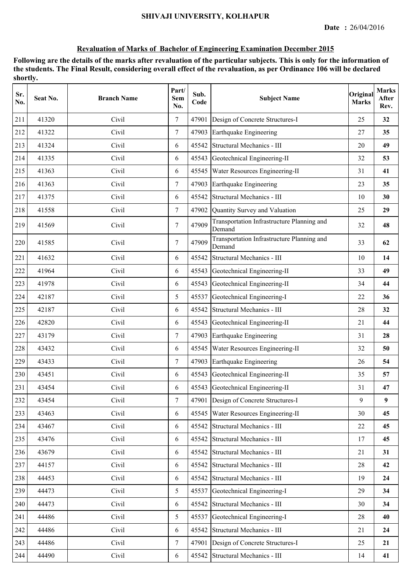| Sr.<br>No. | Seat No. | <b>Branch Name</b> | Part/<br><b>Sem</b><br>No. | Sub.<br>Code | <b>Subject Name</b>                                  | Original<br><b>Marks</b> | <b>Marks</b><br>After<br>Rev. |
|------------|----------|--------------------|----------------------------|--------------|------------------------------------------------------|--------------------------|-------------------------------|
| 211        | 41320    | Civil              | 7                          | 47901        | Design of Concrete Structures-I                      | 25                       | 32                            |
| 212        | 41322    | Civil              | $\tau$                     | 47903        | Earthquake Engineering                               | 27                       | 35                            |
| 213        | 41324    | Civil              | 6                          | 45542        | Structural Mechanics - III                           | 20                       | 49                            |
| 214        | 41335    | Civil              | 6                          | 45543        | Geotechnical Engineering-II                          | 32                       | 53                            |
| 215        | 41363    | Civil              | 6                          |              | 45545   Water Resources Engineering-II               | 31                       | 41                            |
| 216        | 41363    | Civil              | $\tau$                     | 47903        | Earthquake Engineering                               | 23                       | 35                            |
| 217        | 41375    | Civil              | 6                          | 45542        | Structural Mechanics - III                           | 10                       | 30                            |
| 218        | 41558    | Civil              | $\tau$                     | 47902        | Quantity Survey and Valuation                        | 25                       | 29                            |
| 219        | 41569    | Civil              | $\tau$                     | 47909        | Transportation Infrastructure Planning and<br>Demand | 32                       | 48                            |
| 220        | 41585    | Civil              | $\tau$                     | 47909        | Transportation Infrastructure Planning and<br>Demand | 33                       | 62                            |
| 221        | 41632    | Civil              | 6                          | 45542        | Structural Mechanics - III                           | 10                       | 14                            |
| 222        | 41964    | Civil              | 6                          | 45543        | Geotechnical Engineering-II                          | 33                       | 49                            |
| 223        | 41978    | Civil              | 6                          | 45543        | Geotechnical Engineering-II                          | 34                       | 44                            |
| 224        | 42187    | Civil              | 5                          | 45537        | Geotechnical Engineering-I                           | 22                       | 36                            |
| 225        | 42187    | Civil              | 6                          | 45542        | Structural Mechanics - III                           | 28                       | 32                            |
| 226        | 42820    | Civil              | 6                          | 45543        | Geotechnical Engineering-II                          | 21                       | 44                            |
| 227        | 43179    | Civil              | $\tau$                     | 47903        | Earthquake Engineering                               | 31                       | 28                            |
| 228        | 43432    | Civil              | 6                          | 45545        | Water Resources Engineering-II                       | 32                       | 50                            |
| 229        | 43433    | Civil              | $\tau$                     | 47903        | Earthquake Engineering                               | 26                       | 54                            |
| 230        | 43451    | Civil              | 6                          | 45543        | Geotechnical Engineering-II                          | 35                       | 57                            |
| 231        | 43454    | Civil              | 6                          |              | 45543 Geotechnical Engineering-II                    | 31                       | 47                            |
| 232        | 43454    | Civil              | $\boldsymbol{7}$           |              | 47901 Design of Concrete Structures-I                | 9                        | $\boldsymbol{9}$              |
| 233        | 43463    | Civil              | 6                          | 45545        | Water Resources Engineering-II                       | 30                       | 45                            |
| 234        | 43467    | Civil              | 6                          |              | 45542 Structural Mechanics - III                     | 22                       | 45                            |
| 235        | 43476    | Civil              | 6                          | 45542        | Structural Mechanics - III                           | 17                       | 45                            |
| 236        | 43679    | Civil              | 6                          |              | 45542 Structural Mechanics - III                     | 21                       | 31                            |
| 237        | 44157    | Civil              | 6                          |              | 45542 Structural Mechanics - III                     | 28                       | 42                            |
| 238        | 44453    | Civil              | 6                          |              | 45542 Structural Mechanics - III                     | 19                       | 24                            |
| 239        | 44473    | Civil              | 5                          | 45537        | Geotechnical Engineering-I                           | 29                       | 34                            |
| 240        | 44473    | Civil              | 6                          | 45542        | Structural Mechanics - III                           | 30                       | 34                            |
| 241        | 44486    | Civil              | 5                          | 45537        | Geotechnical Engineering-I                           | 28                       | 40                            |
| 242        | 44486    | Civil              | 6                          | 45542        | Structural Mechanics - III                           | 21                       | 24                            |
| 243        | 44486    | Civil              | $\overline{7}$             | 47901        | Design of Concrete Structures-I                      | 25                       | 21                            |
| 244        | 44490    | Civil              | 6                          |              | 45542 Structural Mechanics - III                     | 14                       | 41                            |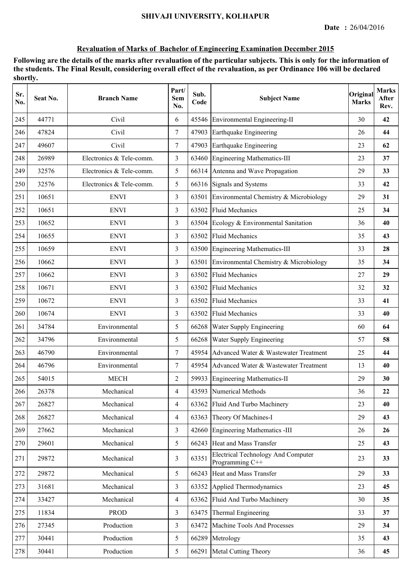| Sr.<br>No. | Seat No. | <b>Branch Name</b>       | Part/<br>Sem<br>No. | Sub.<br>Code | <b>Subject Name</b>                                          | Original<br><b>Marks</b> | <b>Marks</b><br>After<br>Rev. |
|------------|----------|--------------------------|---------------------|--------------|--------------------------------------------------------------|--------------------------|-------------------------------|
| 245        | 44771    | Civil                    | 6                   |              | 45546 Environmental Engineering-II                           | 30                       | 42                            |
| 246        | 47824    | Civil                    | $\overline{7}$      | 47903        | Earthquake Engineering                                       | 26                       | 44                            |
| 247        | 49607    | Civil                    | $\overline{7}$      | 47903        | Earthquake Engineering                                       | 23                       | 62                            |
| 248        | 26989    | Electronics & Tele-comm. | 3                   |              | 63460 Engineering Mathematics-III                            | 23                       | 37                            |
| 249        | 32576    | Electronics & Tele-comm. | 5                   |              | 66314 Antenna and Wave Propagation                           | 29                       | 33                            |
| 250        | 32576    | Electronics & Tele-comm. | 5                   |              | 66316 Signals and Systems                                    | 33                       | 42                            |
| 251        | 10651    | <b>ENVI</b>              | 3                   | 63501        | Environmental Chemistry & Microbiology                       | 29                       | 31                            |
| 252        | 10651    | <b>ENVI</b>              | 3                   | 63502        | <b>Fluid Mechanics</b>                                       | 25                       | 34                            |
| 253        | 10652    | <b>ENVI</b>              | 3                   | 63504        | Ecology & Environmental Sanitation                           | 36                       | 40                            |
| 254        | 10655    | <b>ENVI</b>              | 3                   | 63502        | <b>Fluid Mechanics</b>                                       | 35                       | 43                            |
| 255        | 10659    | <b>ENVI</b>              | $\overline{3}$      |              | 63500 Engineering Mathematics-III                            | 33                       | 28                            |
| 256        | 10662    | <b>ENVI</b>              | 3                   |              | 63501 Environmental Chemistry & Microbiology                 | 35                       | 34                            |
| 257        | 10662    | <b>ENVI</b>              | 3                   | 63502        | <b>Fluid Mechanics</b>                                       | 27                       | 29                            |
| 258        | 10671    | <b>ENVI</b>              | 3                   | 63502        | <b>Fluid Mechanics</b>                                       | 32                       | 32                            |
| 259        | 10672    | <b>ENVI</b>              | 3                   | 63502        | <b>Fluid Mechanics</b>                                       | 33                       | 41                            |
| 260        | 10674    | <b>ENVI</b>              | 3                   | 63502        | <b>Fluid Mechanics</b>                                       | 33                       | 40                            |
| 261        | 34784    | Environmental            | 5                   | 66268        | Water Supply Engineering                                     | 60                       | 64                            |
| 262        | 34796    | Environmental            | 5                   | 66268        | Water Supply Engineering                                     | 57                       | 58                            |
| 263        | 46790    | Environmental            | $\overline{7}$      | 45954        | Advanced Water & Wastewater Treatment                        | 25                       | 44                            |
| 264        | 46796    | Environmental            | $\tau$              |              | 45954 Advanced Water & Wastewater Treatment                  | 13                       | 40                            |
| 265        | 54015    | <b>MECH</b>              | 2                   |              | 59933 Engineering Mathematics-II                             | 29                       | 30                            |
| 266        | 26378    | Mechanical               | $\overline{4}$      |              | 43593 Numerical Methods                                      | 36                       | 22                            |
| 267        | 26827    | Mechanical               | $\overline{4}$      | 63362        | Fluid And Turbo Machinery                                    | 23                       | 40                            |
| 268        | 26827    | Mechanical               | $\overline{4}$      | 63363        | Theory Of Machines-I                                         | 29                       | 43                            |
| 269        | 27662    | Mechanical               | 3                   | 42660        | Engineering Mathematics -III                                 | 26                       | 26                            |
| 270        | 29601    | Mechanical               | 5                   | 66243        | Heat and Mass Transfer                                       | 25                       | 43                            |
| 271        | 29872    | Mechanical               | 3                   | 63351        | <b>Electrical Technology And Computer</b><br>Programming C++ | 23                       | 33                            |
| 272        | 29872    | Mechanical               | 5                   |              | 66243 Heat and Mass Transfer                                 | 29                       | 33                            |
| 273        | 31681    | Mechanical               | 3                   | 63352        | Applied Thermodynamics                                       | 23                       | 45                            |
| 274        | 33427    | Mechanical               | $\overline{4}$      | 63362        | Fluid And Turbo Machinery                                    | 30                       | 35                            |
| 275        | 11834    | <b>PROD</b>              | 3                   | 63475        | Thermal Engineering                                          | 33                       | 37                            |
| 276        | 27345    | Production               | 3                   | 63472        | Machine Tools And Processes                                  | 29                       | 34                            |
| 277        | 30441    | Production               | 5                   | 66289        | Metrology                                                    | 35                       | 43                            |
| 278        | 30441    | Production               | 5                   | 66291        | Metal Cutting Theory                                         | 36                       | 45                            |